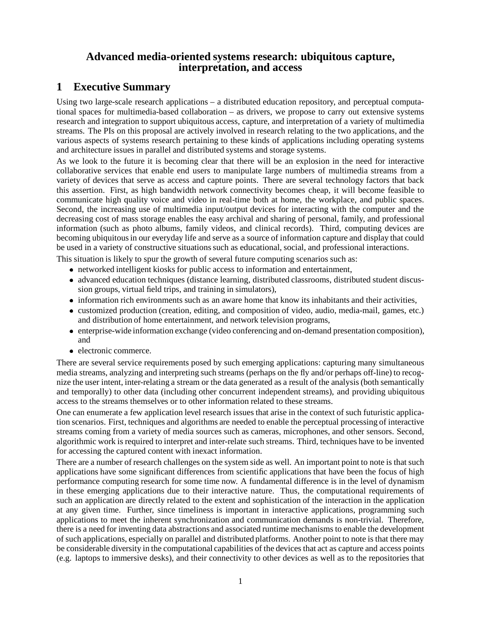## **Advanced media-oriented systems research: ubiquitous capture, interpretation, and access**

## **1 Executive Summary**

Using two large-scale research applications – a distributed education repository, and perceptual computational spaces for multimedia-based collaboration – as drivers, we propose to carry out extensive systems research and integration to support ubiquitous access, capture, and interpretation of a variety of multimedia streams. The PIs on this proposal are actively involved in research relating to the two applications, and the various aspects of systems research pertaining to these kinds of applications including operating systems and architecture issues in parallel and distributed systems and storage systems.

As we look to the future it is becoming clear that there will be an explosion in the need for interactive collaborative services that enable end users to manipulate large numbers of multimedia streams from a variety of devices that serve as access and capture points. There are several technology factors that back this assertion. First, as high bandwidth network connectivity becomes cheap, it will become feasible to communicate high quality voice and video in real-time both at home, the workplace, and public spaces. Second, the increasing use of multimedia input/output devices for interacting with the computer and the decreasing cost of mass storage enables the easy archival and sharing of personal, family, and professional information (such as photo albums, family videos, and clinical records). Third, computing devices are becoming ubiquitous in our everyday life and serve as a source of information capture and display that could be used in a variety of constructive situations such as educational, social, and professional interactions.

This situation is likely to spur the growth of several future computing scenarios such as:

- networked intelligent kiosks for public access to information and entertainment,
- advanced education techniques (distance learning, distributed classrooms, distributed student discussion groups, virtual field trips, and training in simulators),
- information rich environments such as an aware home that know its inhabitants and their activities,
- customized production (creation, editing, and composition of video, audio, media-mail, games, etc.) and distribution of home entertainment, and network television programs,
- enterprise-wide information exchange (video conferencing and on-demand presentation composition), and
- electronic commerce.

There are several service requirements posed by such emerging applications: capturing many simultaneous media streams, analyzing and interpreting such streams (perhaps on the fly and/or perhaps off-line) to recognize the user intent, inter-relating a stream or the data generated as a result of the analysis (both semantically and temporally) to other data (including other concurrent independent streams), and providing ubiquitous access to the streams themselves or to other information related to these streams.

One can enumerate a few application level research issues that arise in the context of such futuristic application scenarios. First, techniques and algorithms are needed to enable the perceptual processing of interactive streams coming from a variety of media sources such as cameras, microphones, and other sensors. Second, algorithmic work is required to interpret and inter-relate such streams. Third, techniques have to be invented for accessing the captured content with inexact information.

There are a number of research challenges on the system side as well. An important point to note is that such applications have some significant differences from scientific applications that have been the focus of high performance computing research for some time now. A fundamental difference is in the level of dynamism in these emerging applications due to their interactive nature. Thus, the computational requirements of such an application are directly related to the extent and sophistication of the interaction in the application at any given time. Further, since timeliness is important in interactive applications, programming such applications to meet the inherent synchronization and communication demands is non-trivial. Therefore, there is a need for inventing data abstractions and associated runtime mechanisms to enable the development of such applications, especially on parallel and distributed platforms. Another point to note is that there may be considerable diversity in the computational capabilities of the devices that act as capture and access points (e.g. laptops to immersive desks), and their connectivity to other devices as well as to the repositories that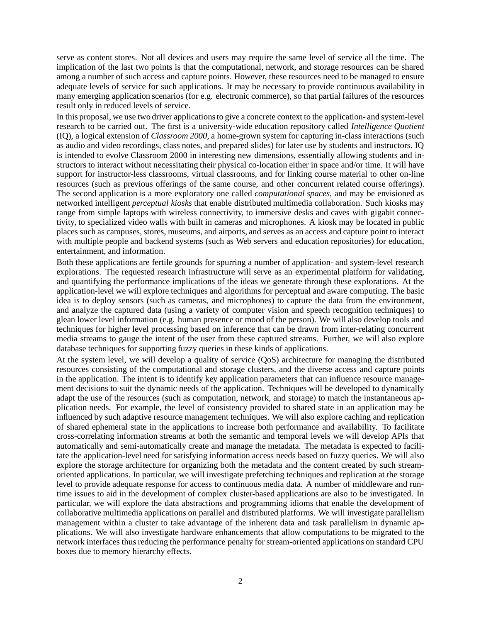serve as content stores. Not all devices and users may require the same level of service all the time. The implication of the last two points is that the computational, network, and storage resources can be shared among a number of such access and capture points. However, these resources need to be managed to ensure adequate levels of service for such applications. It may be necessary to provide continuous availability in many emerging application scenarios (for e.g. electronic commerce), so that partial failures of the resources result only in reduced levels of service.

In this proposal, we use two driver applications to give a concrete context to the application- and system-level research to be carried out. The first is a university-wide education repository called *Intelligence Quotient* (IQ), a logical extension of *Classroom 2000*, a home-grown system for capturing in-class interactions (such as audio and video recordings, class notes, and prepared slides) for later use by students and instructors. IQ is intended to evolve Classroom 2000 in interesting new dimensions, essentially allowing students and instructors to interact without necessitating their physical co-location either in space and/or time. It will have support for instructor-less classrooms, virtual classrooms, and for linking course material to other on-line resources (such as previous offerings of the same course, and other concurrent related course offerings). The second application is a more exploratory one called *computational spaces*, and may be envisioned as networked intelligent *perceptual kiosks* that enable distributed multimedia collaboration. Such kiosks may range from simple laptops with wireless connectivity, to immersive desks and caves with gigabit connectivity, to specialized video walls with built in cameras and microphones. A kiosk may be located in public places such as campuses, stores, museums, and airports, and serves as an access and capture point to interact with multiple people and backend systems (such as Web servers and education repositories) for education, entertainment, and information.

Both these applications are fertile grounds for spurring a number of application- and system-level research explorations. The requested research infrastructure will serve as an experimental platform for validating, and quantifying the performance implications of the ideas we generate through these explorations. At the application-level we will explore techniques and algorithms for perceptual and aware computing. The basic idea is to deploy sensors (such as cameras, and microphones) to capture the data from the environment, and analyze the captured data (using a variety of computer vision and speech recognition techniques) to glean lower level information (e.g. human presence or mood of the person). We will also develop tools and techniques for higher level processing based on inference that can be drawn from inter-relating concurrent media streams to gauge the intent of the user from these captured streams. Further, we will also explore database techniques for supporting fuzzy queries in these kinds of applications.

At the system level, we will develop a quality of service (QoS) architecture for managing the distributed resources consisting of the computational and storage clusters, and the diverse access and capture points in the application. The intent is to identify key application parameters that can influence resource management decisions to suit the dynamic needs of the application. Techniques will be developed to dynamically adapt the use of the resources (such as computation, network, and storage) to match the instantaneous application needs. For example, the level of consistency provided to shared state in an application may be influenced by such adaptive resource management techniques. We will also explore caching and replication of shared ephemeral state in the applications to increase both performance and availability. To facilitate cross-correlating information streams at both the semantic and temporal levels we will develop APIs that automatically and semi-automatically create and manage the metadata. The metadata is expected to facilitate the application-level need for satisfying information access needs based on fuzzy queries. We will also explore the storage architecture for organizing both the metadata and the content created by such streamoriented applications. In particular, we will investigate prefetching techniques and replication at the storage level to provide adequate response for access to continuous media data. A number of middleware and runtime issues to aid in the development of complex cluster-based applications are also to be investigated. In particular, we will explore the data abstractions and programming idioms that enable the development of collaborative multimedia applications on parallel and distributed platforms. We will investigate parallelism management within a cluster to take advantage of the inherent data and task parallelism in dynamic applications. We will also investigate hardware enhancements that allow computations to be migrated to the network interfaces thus reducing the performance penalty for stream-oriented applications on standard CPU boxes due to memory hierarchy effects.